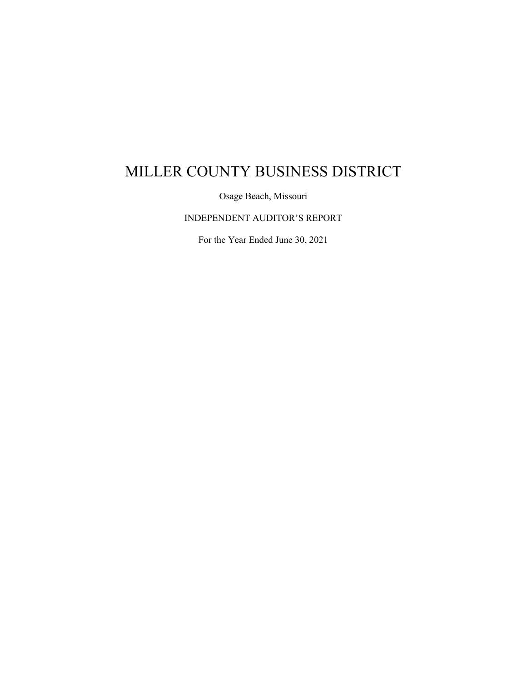Osage Beach, Missouri

INDEPENDENT AUDITOR'S REPORT

For the Year Ended June 30, 2021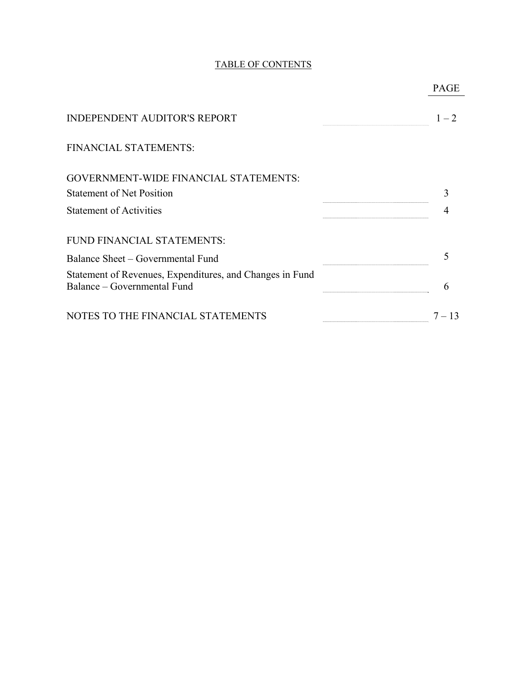# TABLE OF CONTENTS

|                                                                                         | PAGE     |
|-----------------------------------------------------------------------------------------|----------|
| <b>INDEPENDENT AUDITOR'S REPORT</b>                                                     | $1 - 2$  |
| FINANCIAL STATEMENTS:                                                                   |          |
| <b>GOVERNMENT-WIDE FINANCIAL STATEMENTS:</b>                                            |          |
| <b>Statement of Net Position</b>                                                        |          |
| <b>Statement of Activities</b>                                                          |          |
| FUND FINANCIAL STATEMENTS:                                                              |          |
| Balance Sheet – Governmental Fund                                                       |          |
| Statement of Revenues, Expenditures, and Changes in Fund<br>Balance – Governmental Fund | 6        |
| NOTES TO THE FINANCIAL STATEMENTS                                                       | $7 - 13$ |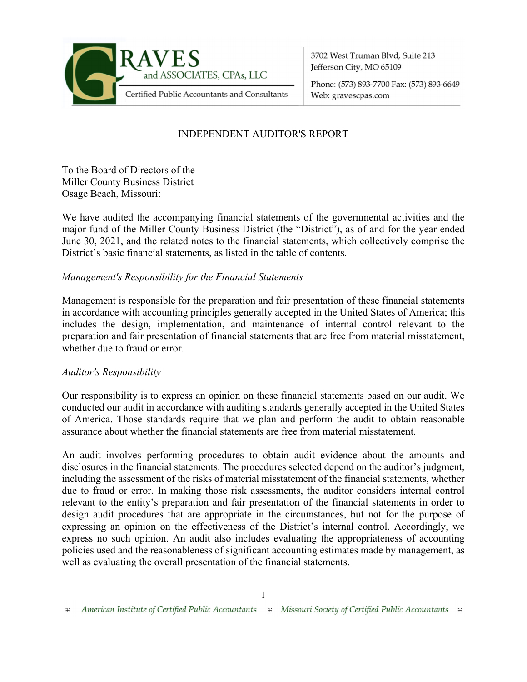

3702 West Truman Blvd. Suite 213 Jefferson City, MO 65109

Phone: (573) 893-7700 Fax: (573) 893-6649 Web: gravescpas.com

# INDEPENDENT AUDITOR'S REPORT

To the Board of Directors of the Miller County Business District Osage Beach, Missouri:

We have audited the accompanying financial statements of the governmental activities and the major fund of the Miller County Business District (the "District"), as of and for the year ended June 30, 2021, and the related notes to the financial statements, which collectively comprise the District's basic financial statements, as listed in the table of contents.

# *Management's Responsibility for the Financial Statements*

Management is responsible for the preparation and fair presentation of these financial statements in accordance with accounting principles generally accepted in the United States of America; this includes the design, implementation, and maintenance of internal control relevant to the preparation and fair presentation of financial statements that are free from material misstatement, whether due to fraud or error.

### *Auditor's Responsibility*

Our responsibility is to express an opinion on these financial statements based on our audit. We conducted our audit in accordance with auditing standards generally accepted in the United States of America. Those standards require that we plan and perform the audit to obtain reasonable assurance about whether the financial statements are free from material misstatement.

An audit involves performing procedures to obtain audit evidence about the amounts and disclosures in the financial statements. The procedures selected depend on the auditor's judgment, including the assessment of the risks of material misstatement of the financial statements, whether due to fraud or error. In making those risk assessments, the auditor considers internal control relevant to the entity's preparation and fair presentation of the financial statements in order to design audit procedures that are appropriate in the circumstances, but not for the purpose of expressing an opinion on the effectiveness of the District's internal control. Accordingly, we express no such opinion. An audit also includes evaluating the appropriateness of accounting policies used and the reasonableness of significant accounting estimates made by management, as well as evaluating the overall presentation of the financial statements.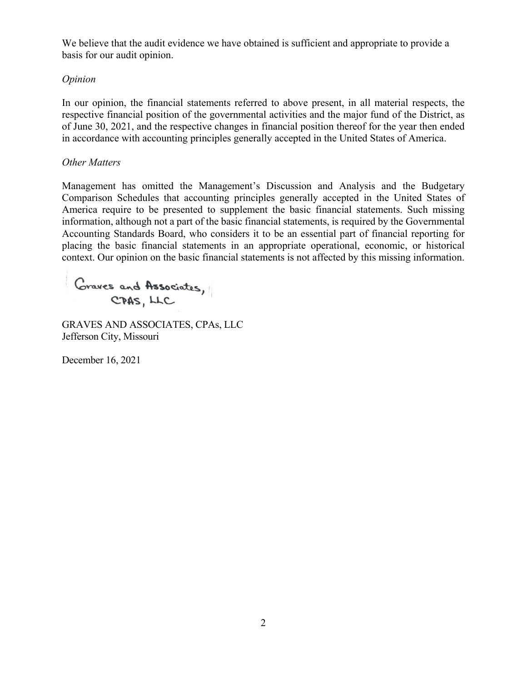We believe that the audit evidence we have obtained is sufficient and appropriate to provide a basis for our audit opinion.

# *Opinion*

In our opinion, the financial statements referred to above present, in all material respects, the respective financial position of the governmental activities and the major fund of the District, as of June 30, 2021, and the respective changes in financial position thereof for the year then ended in accordance with accounting principles generally accepted in the United States of America.

# *Other Matters*

Management has omitted the Management's Discussion and Analysis and the Budgetary Comparison Schedules that accounting principles generally accepted in the United States of America require to be presented to supplement the basic financial statements. Such missing information, although not a part of the basic financial statements, is required by the Governmental Accounting Standards Board, who considers it to be an essential part of financial reporting for placing the basic financial statements in an appropriate operational, economic, or historical context. Our opinion on the basic financial statements is not affected by this missing information.

Graves and Associates, CPAS, LLC

GRAVES AND ASSOCIATES, CPAs, LLC Jefferson City, Missouri

December 16, 2021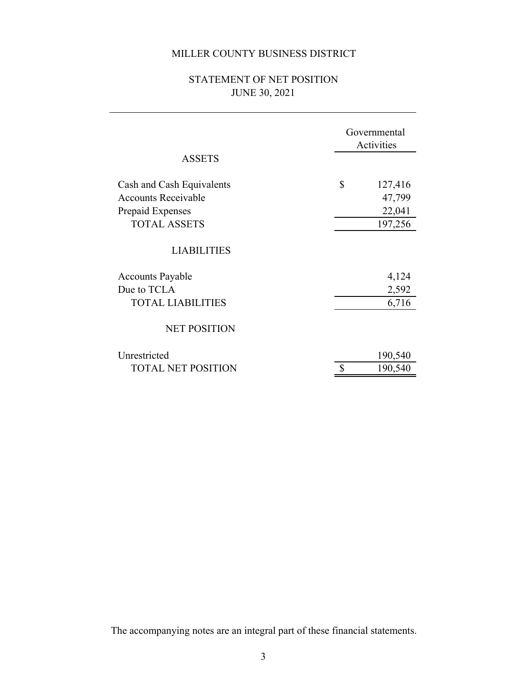# STATEMENT OF NET POSITION JUNE 30, 2021

| <b>ASSETS</b>                                                                                      | Governmental<br>Activities                   |  |
|----------------------------------------------------------------------------------------------------|----------------------------------------------|--|
| Cash and Cash Equivalents<br><b>Accounts Receivable</b><br>Prepaid Expenses<br><b>TOTAL ASSETS</b> | \$<br>127,416<br>47,799<br>22,041<br>197,256 |  |
| <b>LIABILITIES</b>                                                                                 |                                              |  |
| <b>Accounts Payable</b><br>Due to TCLA<br><b>TOTAL LIABILITIES</b>                                 | 4,124<br>2,592<br>6,716                      |  |
| <b>NET POSITION</b>                                                                                |                                              |  |
| Unrestricted<br><b>TOTAL NET POSITION</b>                                                          | 190,540<br>190,540                           |  |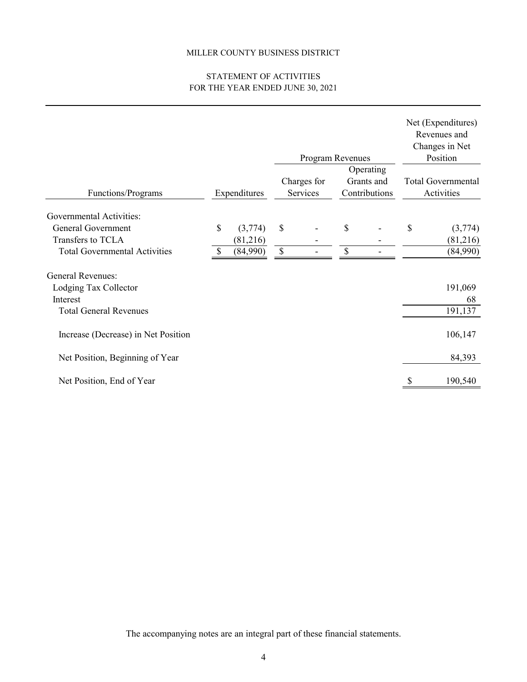## STATEMENT OF ACTIVITIES FOR THE YEAR ENDED JUNE 30, 2021

|                                      |               |                         | Program Revenues |                                          |                          |    | Net (Expenditures)<br>Revenues and<br>Changes in Net<br>Position |  |
|--------------------------------------|---------------|-------------------------|------------------|------------------------------------------|--------------------------|----|------------------------------------------------------------------|--|
| Functions/Programs                   | Expenditures  | Charges for<br>Services |                  | Operating<br>Grants and<br>Contributions |                          |    | <b>Total Governmental</b><br>Activities                          |  |
| Governmental Activities:             |               |                         |                  |                                          |                          |    |                                                                  |  |
| General Government                   | \$<br>(3,774) | $\mathbb{S}$            |                  | \$                                       | $\overline{\phantom{a}}$ | \$ | (3,774)                                                          |  |
| Transfers to TCLA                    | (81,216)      |                         |                  |                                          |                          |    | (81,216)                                                         |  |
| <b>Total Governmental Activities</b> | (84,990)      | \$                      |                  | \$                                       |                          |    | (84,990)                                                         |  |
| <b>General Revenues:</b>             |               |                         |                  |                                          |                          |    |                                                                  |  |
| Lodging Tax Collector                |               |                         |                  |                                          |                          |    | 191,069                                                          |  |
| Interest                             |               |                         |                  |                                          |                          |    | 68                                                               |  |
| <b>Total General Revenues</b>        |               |                         |                  |                                          |                          |    | 191,137                                                          |  |
| Increase (Decrease) in Net Position  |               |                         |                  |                                          |                          |    | 106,147                                                          |  |
| Net Position, Beginning of Year      |               |                         |                  |                                          |                          |    | 84,393                                                           |  |
| Net Position, End of Year            |               |                         |                  |                                          |                          |    | 190,540                                                          |  |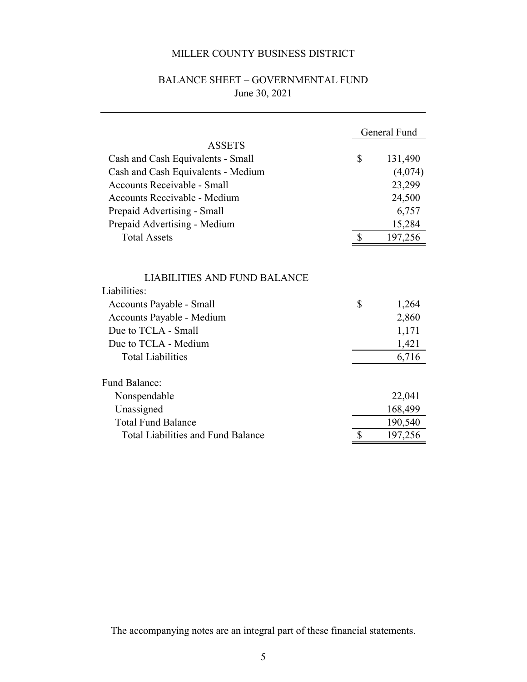# BALANCE SHEET – GOVERNMENTAL FUND June 30, 2021

|                                                                                                                                                                                         |                           | General Fund                              |
|-----------------------------------------------------------------------------------------------------------------------------------------------------------------------------------------|---------------------------|-------------------------------------------|
| <b>ASSETS</b>                                                                                                                                                                           |                           |                                           |
| Cash and Cash Equivalents - Small                                                                                                                                                       | $\mathbb{S}$              | 131,490                                   |
| Cash and Cash Equivalents - Medium                                                                                                                                                      |                           | (4,074)                                   |
| <b>Accounts Receivable - Small</b>                                                                                                                                                      |                           | 23,299                                    |
| Accounts Receivable - Medium                                                                                                                                                            |                           | 24,500                                    |
| Prepaid Advertising - Small                                                                                                                                                             |                           | 6,757                                     |
| Prepaid Advertising - Medium                                                                                                                                                            |                           | 15,284                                    |
| <b>Total Assets</b>                                                                                                                                                                     | $\boldsymbol{\mathsf{S}}$ | 197,256                                   |
| <b>LIABILITIES AND FUND BALANCE</b><br>Liabilities:<br>Accounts Payable - Small<br>Accounts Payable - Medium<br>Due to TCLA - Small<br>Due to TCLA - Medium<br><b>Total Liabilities</b> | \$                        | 1,264<br>2,860<br>1,171<br>1,421<br>6,716 |
| Fund Balance:                                                                                                                                                                           |                           |                                           |
| Nonspendable                                                                                                                                                                            |                           | 22,041                                    |
| Unassigned                                                                                                                                                                              |                           | 168,499                                   |
| <b>Total Fund Balance</b>                                                                                                                                                               |                           | 190,540                                   |
| <b>Total Liabilities and Fund Balance</b>                                                                                                                                               | \$                        | 197,256                                   |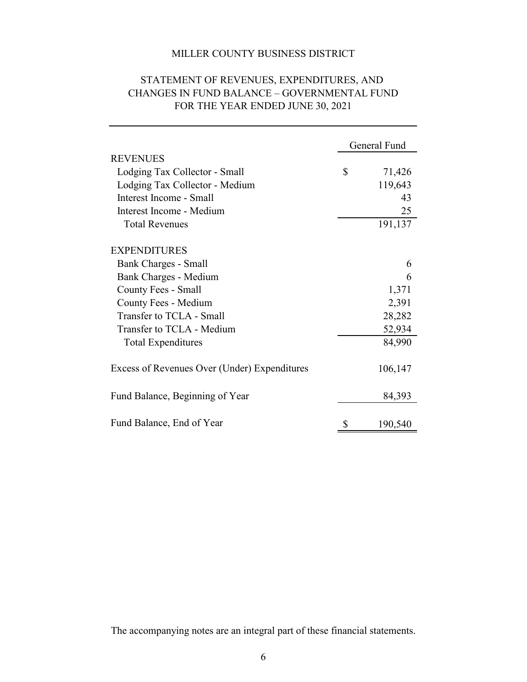|                                              | General Fund |         |
|----------------------------------------------|--------------|---------|
| <b>REVENUES</b>                              |              |         |
| Lodging Tax Collector - Small                | \$           | 71,426  |
| Lodging Tax Collector - Medium               |              | 119,643 |
| Interest Income - Small                      |              | 43      |
| Interest Income - Medium                     |              | 25      |
| <b>Total Revenues</b>                        |              | 191,137 |
| <b>EXPENDITURES</b>                          |              |         |
| Bank Charges - Small                         |              | 6       |
| Bank Charges - Medium                        |              | 6       |
| County Fees - Small                          |              | 1,371   |
| County Fees - Medium                         |              | 2,391   |
| Transfer to TCLA - Small                     |              | 28,282  |
| Transfer to TCLA - Medium                    |              | 52,934  |
| <b>Total Expenditures</b>                    |              | 84,990  |
| Excess of Revenues Over (Under) Expenditures |              | 106,147 |
| Fund Balance, Beginning of Year              |              | 84,393  |
| Fund Balance, End of Year                    | \$           | 190,540 |

# STATEMENT OF REVENUES, EXPENDITURES, AND FOR THE YEAR ENDED JUNE 30, 2021 CHANGES IN FUND BALANCE – GOVERNMENTAL FUND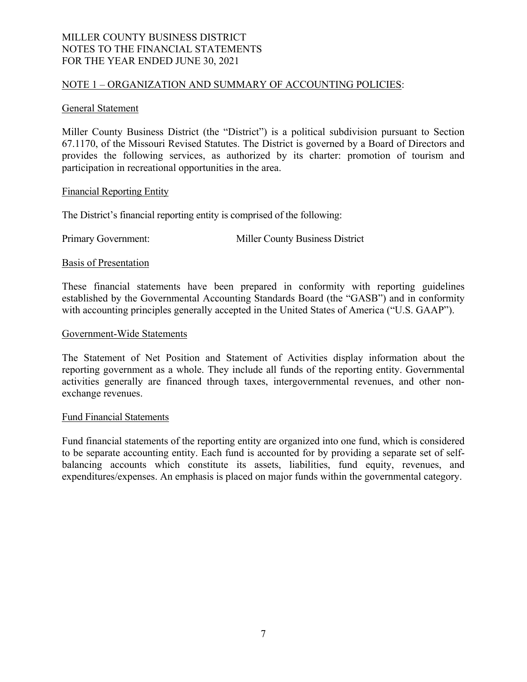#### NOTE 1 – ORGANIZATION AND SUMMARY OF ACCOUNTING POLICIES:

#### General Statement

Miller County Business District (the "District") is a political subdivision pursuant to Section 67.1170, of the Missouri Revised Statutes. The District is governed by a Board of Directors and provides the following services, as authorized by its charter: promotion of tourism and participation in recreational opportunities in the area.

#### Financial Reporting Entity

The District's financial reporting entity is comprised of the following:

Primary Government: Miller County Business District

Basis of Presentation

These financial statements have been prepared in conformity with reporting guidelines established by the Governmental Accounting Standards Board (the "GASB") and in conformity with accounting principles generally accepted in the United States of America ("U.S. GAAP").

#### Government-Wide Statements

The Statement of Net Position and Statement of Activities display information about the reporting government as a whole. They include all funds of the reporting entity. Governmental activities generally are financed through taxes, intergovernmental revenues, and other nonexchange revenues.

#### Fund Financial Statements

Fund financial statements of the reporting entity are organized into one fund, which is considered to be separate accounting entity. Each fund is accounted for by providing a separate set of selfbalancing accounts which constitute its assets, liabilities, fund equity, revenues, and expenditures/expenses. An emphasis is placed on major funds within the governmental category.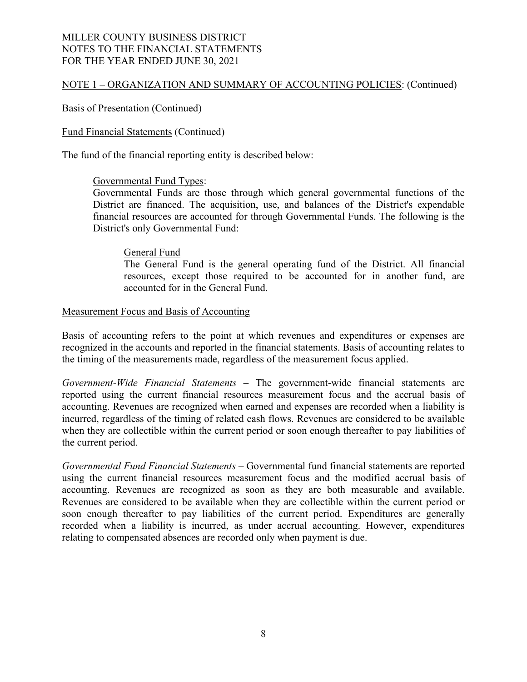# NOTE 1 – ORGANIZATION AND SUMMARY OF ACCOUNTING POLICIES: (Continued)

## Basis of Presentation (Continued)

### Fund Financial Statements (Continued)

The fund of the financial reporting entity is described below:

### Governmental Fund Types:

Governmental Funds are those through which general governmental functions of the District are financed. The acquisition, use, and balances of the District's expendable financial resources are accounted for through Governmental Funds. The following is the District's only Governmental Fund:

### General Fund

The General Fund is the general operating fund of the District. All financial resources, except those required to be accounted for in another fund, are accounted for in the General Fund.

#### Measurement Focus and Basis of Accounting

Basis of accounting refers to the point at which revenues and expenditures or expenses are recognized in the accounts and reported in the financial statements. Basis of accounting relates to the timing of the measurements made, regardless of the measurement focus applied.

*Government-Wide Financial Statements* – The government-wide financial statements are reported using the current financial resources measurement focus and the accrual basis of accounting. Revenues are recognized when earned and expenses are recorded when a liability is incurred, regardless of the timing of related cash flows. Revenues are considered to be available when they are collectible within the current period or soon enough thereafter to pay liabilities of the current period.

*Governmental Fund Financial Statements* – Governmental fund financial statements are reported using the current financial resources measurement focus and the modified accrual basis of accounting. Revenues are recognized as soon as they are both measurable and available. Revenues are considered to be available when they are collectible within the current period or soon enough thereafter to pay liabilities of the current period. Expenditures are generally recorded when a liability is incurred, as under accrual accounting. However, expenditures relating to compensated absences are recorded only when payment is due.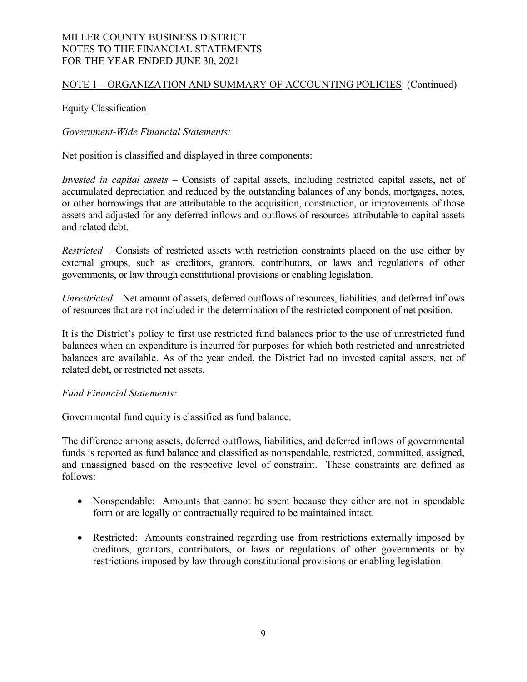# NOTE 1 – ORGANIZATION AND SUMMARY OF ACCOUNTING POLICIES: (Continued)

# Equity Classification

*Government-Wide Financial Statements:* 

Net position is classified and displayed in three components:

*Invested in capital assets –* Consists of capital assets, including restricted capital assets, net of accumulated depreciation and reduced by the outstanding balances of any bonds, mortgages, notes, or other borrowings that are attributable to the acquisition, construction, or improvements of those assets and adjusted for any deferred inflows and outflows of resources attributable to capital assets and related debt.

*Restricted* – Consists of restricted assets with restriction constraints placed on the use either by external groups, such as creditors, grantors, contributors, or laws and regulations of other governments, or law through constitutional provisions or enabling legislation.

*Unrestricted* – Net amount of assets, deferred outflows of resources, liabilities, and deferred inflows of resources that are not included in the determination of the restricted component of net position.

It is the District's policy to first use restricted fund balances prior to the use of unrestricted fund balances when an expenditure is incurred for purposes for which both restricted and unrestricted balances are available. As of the year ended, the District had no invested capital assets, net of related debt, or restricted net assets.

### *Fund Financial Statements:*

Governmental fund equity is classified as fund balance.

The difference among assets, deferred outflows, liabilities, and deferred inflows of governmental funds is reported as fund balance and classified as nonspendable, restricted, committed, assigned, and unassigned based on the respective level of constraint. These constraints are defined as follows:

- Nonspendable: Amounts that cannot be spent because they either are not in spendable form or are legally or contractually required to be maintained intact.
- Restricted: Amounts constrained regarding use from restrictions externally imposed by creditors, grantors, contributors, or laws or regulations of other governments or by restrictions imposed by law through constitutional provisions or enabling legislation.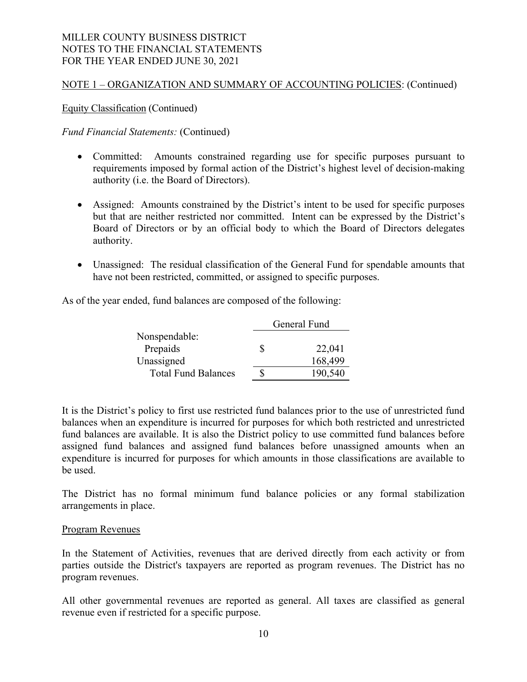## NOTE 1 – ORGANIZATION AND SUMMARY OF ACCOUNTING POLICIES: (Continued)

Equity Classification (Continued)

*Fund Financial Statements:* (Continued)

- Committed: Amounts constrained regarding use for specific purposes pursuant to requirements imposed by formal action of the District's highest level of decision-making authority (i.e. the Board of Directors).
- Assigned: Amounts constrained by the District's intent to be used for specific purposes but that are neither restricted nor committed. Intent can be expressed by the District's Board of Directors or by an official body to which the Board of Directors delegates authority.
- Unassigned: The residual classification of the General Fund for spendable amounts that have not been restricted, committed, or assigned to specific purposes.

As of the year ended, fund balances are composed of the following:

|                            | General Fund |         |  |
|----------------------------|--------------|---------|--|
| Nonspendable:              |              |         |  |
| Prepaids                   | S            | 22,041  |  |
| Unassigned                 |              | 168,499 |  |
| <b>Total Fund Balances</b> |              | 190,540 |  |

It is the District's policy to first use restricted fund balances prior to the use of unrestricted fund balances when an expenditure is incurred for purposes for which both restricted and unrestricted fund balances are available. It is also the District policy to use committed fund balances before assigned fund balances and assigned fund balances before unassigned amounts when an expenditure is incurred for purposes for which amounts in those classifications are available to be used.

The District has no formal minimum fund balance policies or any formal stabilization arrangements in place.

### Program Revenues

In the Statement of Activities, revenues that are derived directly from each activity or from parties outside the District's taxpayers are reported as program revenues. The District has no program revenues.

All other governmental revenues are reported as general. All taxes are classified as general revenue even if restricted for a specific purpose.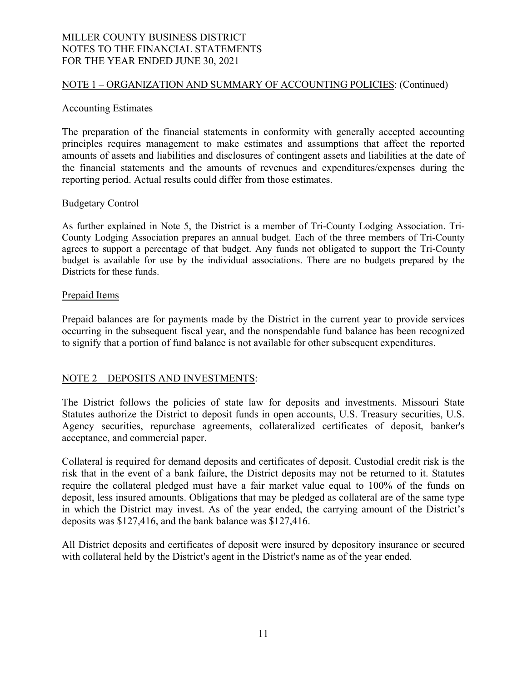### NOTE 1 – ORGANIZATION AND SUMMARY OF ACCOUNTING POLICIES: (Continued)

#### Accounting Estimates

The preparation of the financial statements in conformity with generally accepted accounting principles requires management to make estimates and assumptions that affect the reported amounts of assets and liabilities and disclosures of contingent assets and liabilities at the date of the financial statements and the amounts of revenues and expenditures/expenses during the reporting period. Actual results could differ from those estimates.

#### Budgetary Control

As further explained in Note 5, the District is a member of Tri-County Lodging Association. Tri-County Lodging Association prepares an annual budget. Each of the three members of Tri-County agrees to support a percentage of that budget. Any funds not obligated to support the Tri-County budget is available for use by the individual associations. There are no budgets prepared by the Districts for these funds.

#### Prepaid Items

Prepaid balances are for payments made by the District in the current year to provide services occurring in the subsequent fiscal year, and the nonspendable fund balance has been recognized to signify that a portion of fund balance is not available for other subsequent expenditures.

### NOTE 2 – DEPOSITS AND INVESTMENTS:

The District follows the policies of state law for deposits and investments. Missouri State Statutes authorize the District to deposit funds in open accounts, U.S. Treasury securities, U.S. Agency securities, repurchase agreements, collateralized certificates of deposit, banker's acceptance, and commercial paper.

Collateral is required for demand deposits and certificates of deposit. Custodial credit risk is the risk that in the event of a bank failure, the District deposits may not be returned to it. Statutes require the collateral pledged must have a fair market value equal to 100% of the funds on deposit, less insured amounts. Obligations that may be pledged as collateral are of the same type in which the District may invest. As of the year ended, the carrying amount of the District's deposits was \$127,416, and the bank balance was \$127,416.

All District deposits and certificates of deposit were insured by depository insurance or secured with collateral held by the District's agent in the District's name as of the year ended.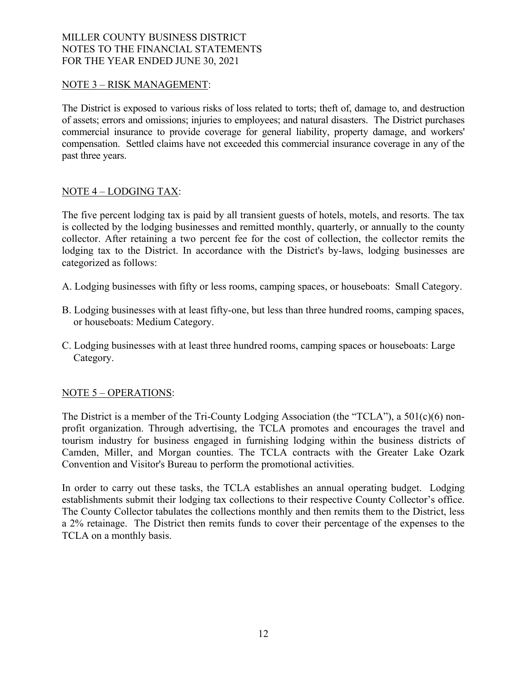# NOTE 3 – RISK MANAGEMENT:

The District is exposed to various risks of loss related to torts; theft of, damage to, and destruction of assets; errors and omissions; injuries to employees; and natural disasters. The District purchases commercial insurance to provide coverage for general liability, property damage, and workers' compensation. Settled claims have not exceeded this commercial insurance coverage in any of the past three years.

# NOTE 4 – LODGING TAX:

The five percent lodging tax is paid by all transient guests of hotels, motels, and resorts. The tax is collected by the lodging businesses and remitted monthly, quarterly, or annually to the county collector. After retaining a two percent fee for the cost of collection, the collector remits the lodging tax to the District. In accordance with the District's by-laws, lodging businesses are categorized as follows:

A. Lodging businesses with fifty or less rooms, camping spaces, or houseboats: Small Category.

- B. Lodging businesses with at least fifty-one, but less than three hundred rooms, camping spaces, or houseboats: Medium Category.
- C. Lodging businesses with at least three hundred rooms, camping spaces or houseboats: Large Category.

### NOTE 5 – OPERATIONS:

The District is a member of the Tri-County Lodging Association (the "TCLA"), a 501(c)(6) nonprofit organization. Through advertising, the TCLA promotes and encourages the travel and tourism industry for business engaged in furnishing lodging within the business districts of Camden, Miller, and Morgan counties. The TCLA contracts with the Greater Lake Ozark Convention and Visitor's Bureau to perform the promotional activities.

In order to carry out these tasks, the TCLA establishes an annual operating budget. Lodging establishments submit their lodging tax collections to their respective County Collector's office. The County Collector tabulates the collections monthly and then remits them to the District, less a 2% retainage. The District then remits funds to cover their percentage of the expenses to the TCLA on a monthly basis.